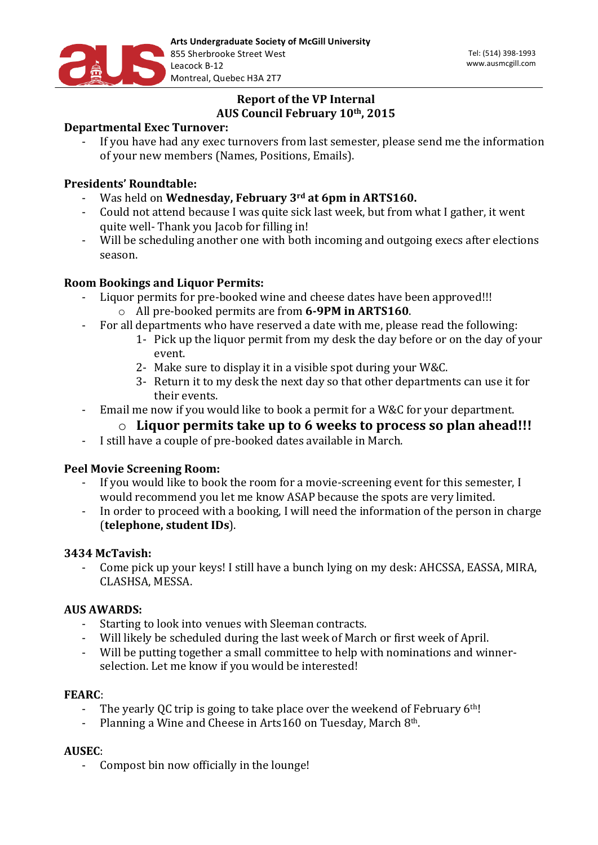

# **Report of the VP Internal AUS Council February 10th, 2015**

## **Departmental Exec Turnover:**

- If you have had any exec turnovers from last semester, please send me the information of your new members (Names, Positions, Emails).

## **Presidents' Roundtable:**

- Was held on **Wednesday, February 3rd at 6pm in ARTS160.**
- Could not attend because I was quite sick last week, but from what I gather, it went quite well- Thank you Jacob for filling in!
- Will be scheduling another one with both incoming and outgoing execs after elections season.

## **Room Bookings and Liquor Permits:**

- Liquor permits for pre-booked wine and cheese dates have been approved!!! o All pre-booked permits are from **6-9PM in ARTS160**.
- For all departments who have reserved a date with me, please read the following:
	- 1- Pick up the liquor permit from my desk the day before or on the day of your event.
	- 2- Make sure to display it in a visible spot during your W&C.
	- 3- Return it to my desk the next day so that other departments can use it for their events.
- Email me now if you would like to book a permit for a W&C for your department.

## $\circ$  Liquor permits take up to 6 weeks to process so plan ahead!!!

- I still have a couple of pre-booked dates available in March.

## **Peel Movie Screening Room:**

- If you would like to book the room for a movie-screening event for this semester, I would recommend you let me know ASAP because the spots are very limited.
- In order to proceed with a booking, I will need the information of the person in charge (**telephone, student IDs**).

### **3434 McTavish:**

- Come pick up your keys! I still have a bunch lying on my desk: AHCSSA, EASSA, MIRA, CLASHSA, MESSA.

### **AUS AWARDS:**

- Starting to look into venues with Sleeman contracts.
- Will likely be scheduled during the last week of March or first week of April.
- Will be putting together a small committee to help with nominations and winnerselection. Let me know if you would be interested!

### **FEARC**:

- The yearly QC trip is going to take place over the weekend of February  $6<sup>th</sup>$ !
- Planning a Wine and Cheese in Arts160 on Tuesday, March  $8<sup>th</sup>$ .

### **AUSEC**:

Compost bin now officially in the lounge!